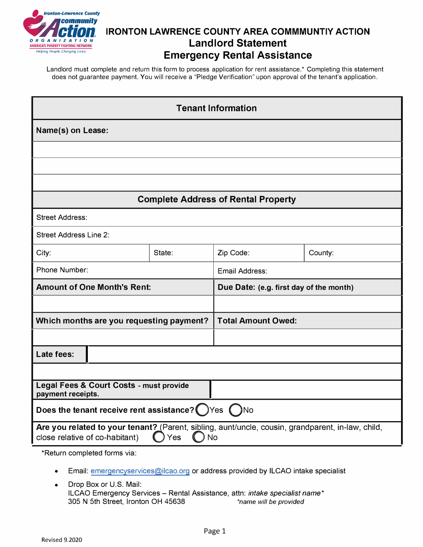

## **IRONTON LAWRENCE COUNTY AREA COMMMUNTIY ACTION Landlord Statement Emergency Rental Assistance**

Landlord must complete and return this form to process application for rent assistance.\* Completing this statement does not guarantee payment. You will receive a "Pledge Verification" upon approval of the tenant's application.

| <b>Tenant Information</b>                                                                                                                               |        |                                         |         |  |  |
|---------------------------------------------------------------------------------------------------------------------------------------------------------|--------|-----------------------------------------|---------|--|--|
| Name(s) on Lease:                                                                                                                                       |        |                                         |         |  |  |
|                                                                                                                                                         |        |                                         |         |  |  |
|                                                                                                                                                         |        |                                         |         |  |  |
|                                                                                                                                                         |        |                                         |         |  |  |
| <b>Complete Address of Rental Property</b>                                                                                                              |        |                                         |         |  |  |
| <b>Street Address:</b>                                                                                                                                  |        |                                         |         |  |  |
| <b>Street Address Line 2:</b>                                                                                                                           |        |                                         |         |  |  |
| City:                                                                                                                                                   | State: | Zip Code:                               | County: |  |  |
| Phone Number:                                                                                                                                           |        | Email Address:                          |         |  |  |
| <b>Amount of One Month's Rent:</b>                                                                                                                      |        | Due Date: (e.g. first day of the month) |         |  |  |
|                                                                                                                                                         |        |                                         |         |  |  |
| Which months are you requesting payment?                                                                                                                |        | <b>Total Amount Owed:</b>               |         |  |  |
|                                                                                                                                                         |        |                                         |         |  |  |
| Late fees:                                                                                                                                              |        |                                         |         |  |  |
|                                                                                                                                                         |        |                                         |         |  |  |
| Legal Fees & Court Costs - must provide<br>payment receipts.                                                                                            |        |                                         |         |  |  |
| Does the tenant receive rent assistance? (JYes (JNo                                                                                                     |        |                                         |         |  |  |
| Are you related to your tenant? (Parent, sibling, aunt/uncle, cousin, grandparent, in-law, child,<br>close relative of co-habitant)<br><b>No</b><br>Yes |        |                                         |         |  |  |

\*Return completed forms via:

- Email: emergencyservices@ilcao.org or address provided by ILCAO intake specialist
- Drop Box or U.S. Mail: ILCAO Emergency Services - Rental Assistance, attn: *intake specialist name\** 305 N 5th Street, Ironton OH 45638